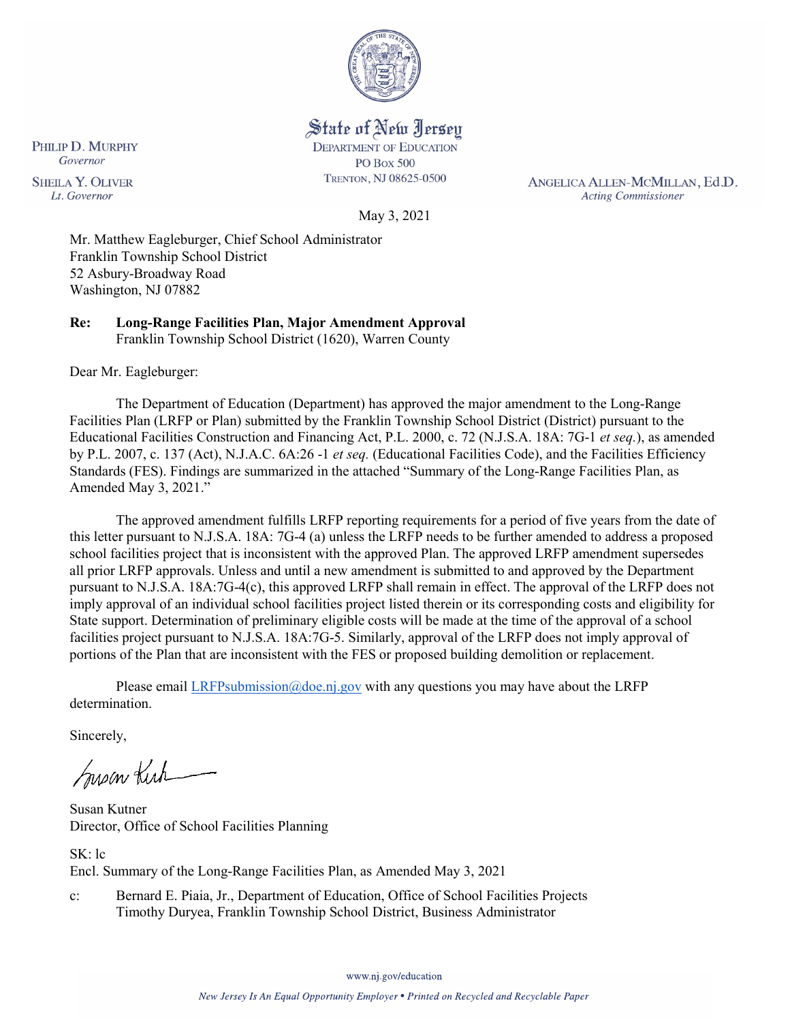

State of New Jersey **DEPARTMENT OF EDUCATION** 

**PO Box 500** TRENTON, NJ 08625-0500

ANGELICA ALLEN-MCMILLAN, Ed.D. **Acting Commissioner** 

Governor **SHEILA Y. OLIVER** Lt. Governor

PHILIP D. MURPHY

May 3, 2021

Mr. Matthew Eagleburger, Chief School Administrator Franklin Township School District 52 Asbury-Broadway Road Washington, NJ 07882

**Re: Long-Range Facilities Plan, Major Amendment Approval**  Franklin Township School District (1620), Warren County

Dear Mr. Eagleburger:

The Department of Education (Department) has approved the major amendment to the Long-Range Facilities Plan (LRFP or Plan) submitted by the Franklin Township School District (District) pursuant to the Educational Facilities Construction and Financing Act, P.L. 2000, c. 72 (N.J.S.A. 18A: 7G-1 *et seq.*), as amended by P.L. 2007, c. 137 (Act), N.J.A.C. 6A:26 -1 *et seq.* (Educational Facilities Code), and the Facilities Efficiency Standards (FES). Findings are summarized in the attached "Summary of the Long-Range Facilities Plan, as Amended May 3, 2021."

The approved amendment fulfills LRFP reporting requirements for a period of five years from the date of this letter pursuant to N.J.S.A. 18A: 7G-4 (a) unless the LRFP needs to be further amended to address a proposed school facilities project that is inconsistent with the approved Plan. The approved LRFP amendment supersedes all prior LRFP approvals. Unless and until a new amendment is submitted to and approved by the Department pursuant to N.J.S.A. 18A:7G-4(c), this approved LRFP shall remain in effect. The approval of the LRFP does not imply approval of an individual school facilities project listed therein or its corresponding costs and eligibility for State support. Determination of preliminary eligible costs will be made at the time of the approval of a school facilities project pursuant to N.J.S.A. 18A:7G-5. Similarly, approval of the LRFP does not imply approval of portions of the Plan that are inconsistent with the FES or proposed building demolition or replacement.

Please email [LRFPsubmission@doe.nj.gov](mailto:LRFPsubmission@doe.nj.gov) with any questions you may have about the LRFP determination.

Sincerely,

Susan Kich

Susan Kutner Director, Office of School Facilities Planning

SK: lc Encl. Summary of the Long-Range Facilities Plan, as Amended May 3, 2021

c: Bernard E. Piaia, Jr., Department of Education, Office of School Facilities Projects Timothy Duryea, Franklin Township School District, Business Administrator

www.nj.gov/education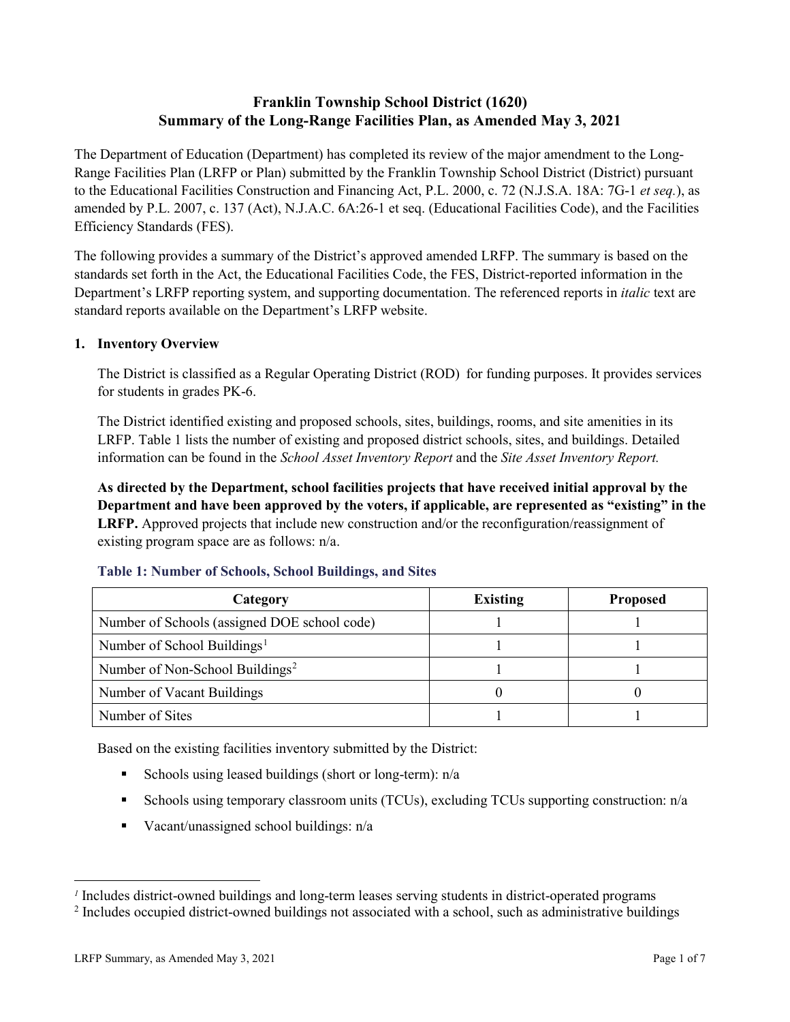# **Franklin Township School District (1620) Summary of the Long-Range Facilities Plan, as Amended May 3, 2021**

The Department of Education (Department) has completed its review of the major amendment to the Long-Range Facilities Plan (LRFP or Plan) submitted by the Franklin Township School District (District) pursuant to the Educational Facilities Construction and Financing Act, P.L. 2000, c. 72 (N.J.S.A. 18A: 7G-1 *et seq.*), as amended by P.L. 2007, c. 137 (Act), N.J.A.C. 6A:26-1 et seq. (Educational Facilities Code), and the Facilities Efficiency Standards (FES).

The following provides a summary of the District's approved amended LRFP. The summary is based on the standards set forth in the Act, the Educational Facilities Code, the FES, District-reported information in the Department's LRFP reporting system, and supporting documentation. The referenced reports in *italic* text are standard reports available on the Department's LRFP website.

# **1. Inventory Overview**

The District is classified as a Regular Operating District (ROD) for funding purposes. It provides services for students in grades PK-6.

The District identified existing and proposed schools, sites, buildings, rooms, and site amenities in its LRFP. Table 1 lists the number of existing and proposed district schools, sites, and buildings. Detailed information can be found in the *School Asset Inventory Report* and the *Site Asset Inventory Report.*

**As directed by the Department, school facilities projects that have received initial approval by the Department and have been approved by the voters, if applicable, are represented as "existing" in the LRFP.** Approved projects that include new construction and/or the reconfiguration/reassignment of existing program space are as follows: n/a.

| Category                                     | <b>Existing</b> | <b>Proposed</b> |
|----------------------------------------------|-----------------|-----------------|
| Number of Schools (assigned DOE school code) |                 |                 |
| Number of School Buildings <sup>1</sup>      |                 |                 |
| Number of Non-School Buildings <sup>2</sup>  |                 |                 |
| Number of Vacant Buildings                   |                 |                 |
| Number of Sites                              |                 |                 |

# **Table 1: Number of Schools, School Buildings, and Sites**

Based on the existing facilities inventory submitted by the District:

- Schools using leased buildings (short or long-term):  $n/a$
- Schools using temporary classroom units (TCUs), excluding TCUs supporting construction: n/a
- Vacant/unassigned school buildings:  $n/a$

 $\overline{a}$ 

<span id="page-1-1"></span><span id="page-1-0"></span>*<sup>1</sup>* Includes district-owned buildings and long-term leases serving students in district-operated programs

<sup>&</sup>lt;sup>2</sup> Includes occupied district-owned buildings not associated with a school, such as administrative buildings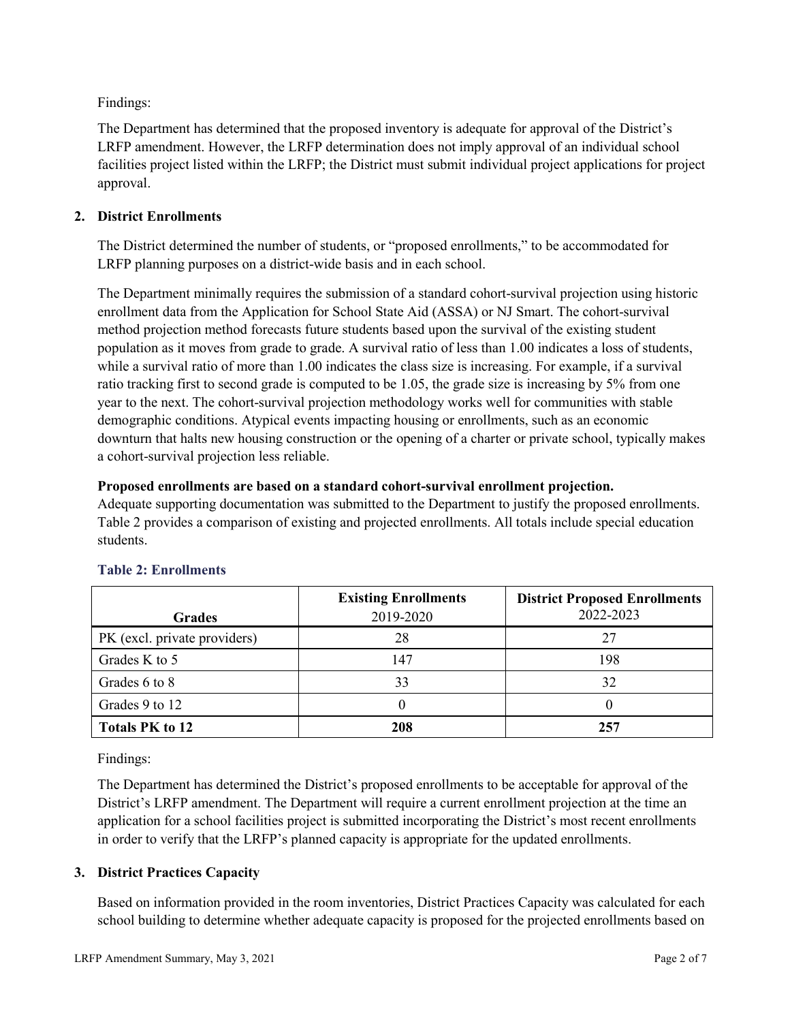Findings:

The Department has determined that the proposed inventory is adequate for approval of the District's LRFP amendment. However, the LRFP determination does not imply approval of an individual school facilities project listed within the LRFP; the District must submit individual project applications for project approval.

# **2. District Enrollments**

The District determined the number of students, or "proposed enrollments," to be accommodated for LRFP planning purposes on a district-wide basis and in each school.

The Department minimally requires the submission of a standard cohort-survival projection using historic enrollment data from the Application for School State Aid (ASSA) or NJ Smart. The cohort-survival method projection method forecasts future students based upon the survival of the existing student population as it moves from grade to grade. A survival ratio of less than 1.00 indicates a loss of students, while a survival ratio of more than 1.00 indicates the class size is increasing. For example, if a survival ratio tracking first to second grade is computed to be 1.05, the grade size is increasing by 5% from one year to the next. The cohort-survival projection methodology works well for communities with stable demographic conditions. Atypical events impacting housing or enrollments, such as an economic downturn that halts new housing construction or the opening of a charter or private school, typically makes a cohort-survival projection less reliable.

#### **Proposed enrollments are based on a standard cohort-survival enrollment projection.**

Adequate supporting documentation was submitted to the Department to justify the proposed enrollments. Table 2 provides a comparison of existing and projected enrollments. All totals include special education students.

|                              | <b>Existing Enrollments</b> | <b>District Proposed Enrollments</b> |
|------------------------------|-----------------------------|--------------------------------------|
| <b>Grades</b>                | 2019-2020                   | 2022-2023                            |
| PK (excl. private providers) | 28                          | 27                                   |
| Grades K to 5                | 147                         | 198                                  |
| Grades 6 to 8                | 33                          | 32                                   |
| Grades 9 to 12               |                             |                                      |
| <b>Totals PK to 12</b>       | 208                         | 257                                  |

# **Table 2: Enrollments**

Findings:

The Department has determined the District's proposed enrollments to be acceptable for approval of the District's LRFP amendment. The Department will require a current enrollment projection at the time an application for a school facilities project is submitted incorporating the District's most recent enrollments in order to verify that the LRFP's planned capacity is appropriate for the updated enrollments.

# **3. District Practices Capacity**

Based on information provided in the room inventories, District Practices Capacity was calculated for each school building to determine whether adequate capacity is proposed for the projected enrollments based on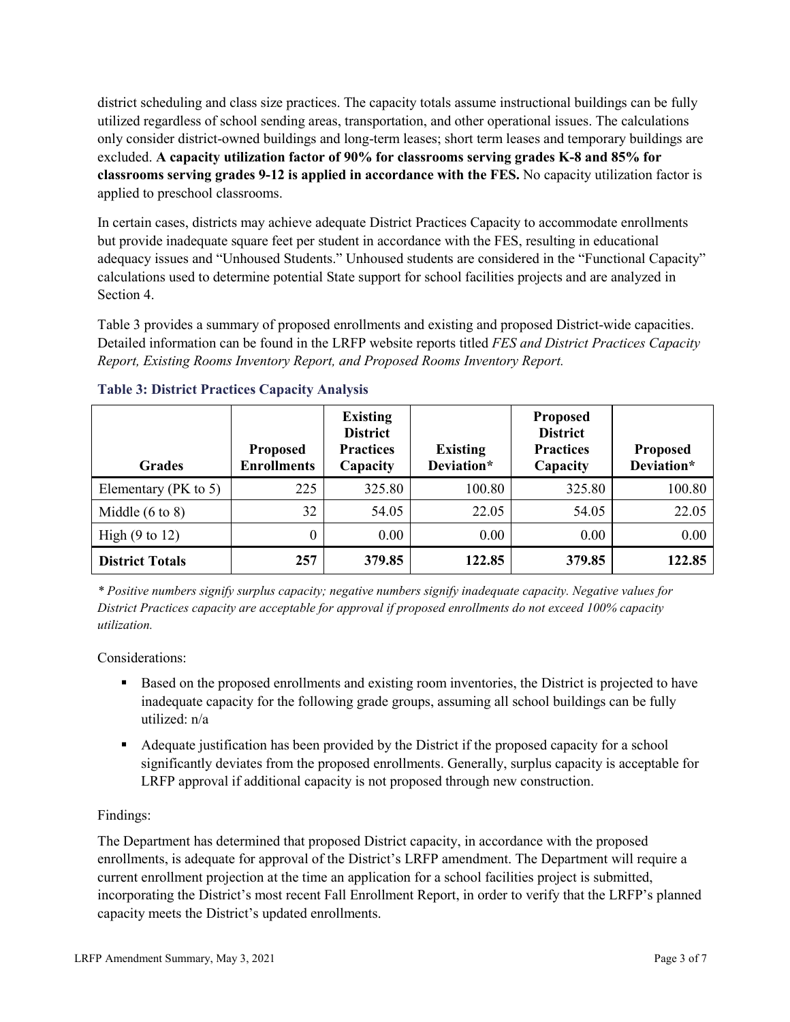district scheduling and class size practices. The capacity totals assume instructional buildings can be fully utilized regardless of school sending areas, transportation, and other operational issues. The calculations only consider district-owned buildings and long-term leases; short term leases and temporary buildings are excluded. **A capacity utilization factor of 90% for classrooms serving grades K-8 and 85% for classrooms serving grades 9-12 is applied in accordance with the FES.** No capacity utilization factor is applied to preschool classrooms.

In certain cases, districts may achieve adequate District Practices Capacity to accommodate enrollments but provide inadequate square feet per student in accordance with the FES, resulting in educational adequacy issues and "Unhoused Students." Unhoused students are considered in the "Functional Capacity" calculations used to determine potential State support for school facilities projects and are analyzed in Section 4.

Table 3 provides a summary of proposed enrollments and existing and proposed District-wide capacities. Detailed information can be found in the LRFP website reports titled *FES and District Practices Capacity Report, Existing Rooms Inventory Report, and Proposed Rooms Inventory Report.*

| <b>Grades</b>              | <b>Proposed</b><br><b>Enrollments</b> | <b>Existing</b><br><b>District</b><br><b>Practices</b><br>Capacity | <b>Existing</b><br>Deviation* | <b>Proposed</b><br><b>District</b><br><b>Practices</b><br>Capacity | <b>Proposed</b><br>Deviation* |
|----------------------------|---------------------------------------|--------------------------------------------------------------------|-------------------------------|--------------------------------------------------------------------|-------------------------------|
| Elementary ( $PK$ to 5)    | 225                                   | 325.80                                                             | 100.80                        | 325.80                                                             | 100.80                        |
| Middle $(6 \text{ to } 8)$ | 32                                    | 54.05                                                              | 22.05                         | 54.05                                                              | 22.05                         |
| High $(9 \text{ to } 12)$  | $\theta$                              | 0.00                                                               | 0.00                          | 0.00                                                               | 0.00                          |
| <b>District Totals</b>     | 257                                   | 379.85                                                             | 122.85                        | 379.85                                                             | 122.85                        |

# **Table 3: District Practices Capacity Analysis**

*\* Positive numbers signify surplus capacity; negative numbers signify inadequate capacity. Negative values for District Practices capacity are acceptable for approval if proposed enrollments do not exceed 100% capacity utilization.*

Considerations:

- Based on the proposed enrollments and existing room inventories, the District is projected to have inadequate capacity for the following grade groups, assuming all school buildings can be fully utilized: n/a
- Adequate justification has been provided by the District if the proposed capacity for a school significantly deviates from the proposed enrollments. Generally, surplus capacity is acceptable for LRFP approval if additional capacity is not proposed through new construction.

# Findings:

The Department has determined that proposed District capacity, in accordance with the proposed enrollments, is adequate for approval of the District's LRFP amendment. The Department will require a current enrollment projection at the time an application for a school facilities project is submitted, incorporating the District's most recent Fall Enrollment Report, in order to verify that the LRFP's planned capacity meets the District's updated enrollments.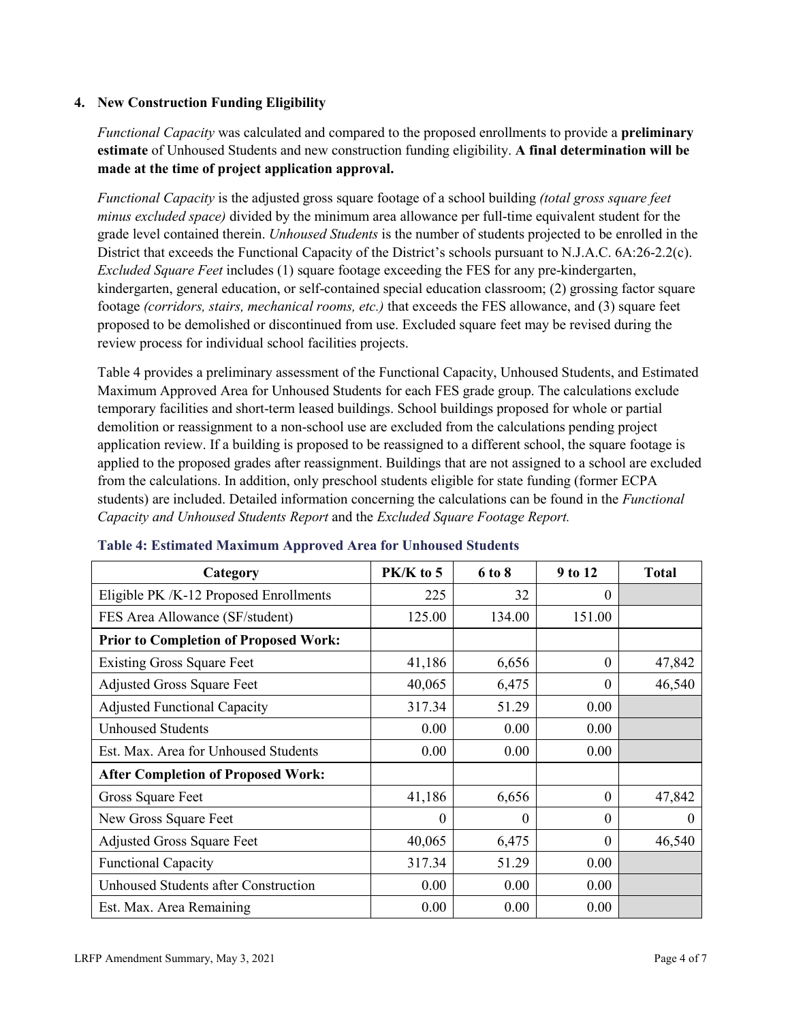## **4. New Construction Funding Eligibility**

*Functional Capacity* was calculated and compared to the proposed enrollments to provide a **preliminary estimate** of Unhoused Students and new construction funding eligibility. **A final determination will be made at the time of project application approval.**

*Functional Capacity* is the adjusted gross square footage of a school building *(total gross square feet minus excluded space)* divided by the minimum area allowance per full-time equivalent student for the grade level contained therein. *Unhoused Students* is the number of students projected to be enrolled in the District that exceeds the Functional Capacity of the District's schools pursuant to N.J.A.C. 6A:26-2.2(c). *Excluded Square Feet* includes (1) square footage exceeding the FES for any pre-kindergarten, kindergarten, general education, or self-contained special education classroom; (2) grossing factor square footage *(corridors, stairs, mechanical rooms, etc.)* that exceeds the FES allowance, and (3) square feet proposed to be demolished or discontinued from use. Excluded square feet may be revised during the review process for individual school facilities projects.

Table 4 provides a preliminary assessment of the Functional Capacity, Unhoused Students, and Estimated Maximum Approved Area for Unhoused Students for each FES grade group. The calculations exclude temporary facilities and short-term leased buildings. School buildings proposed for whole or partial demolition or reassignment to a non-school use are excluded from the calculations pending project application review. If a building is proposed to be reassigned to a different school, the square footage is applied to the proposed grades after reassignment. Buildings that are not assigned to a school are excluded from the calculations. In addition, only preschool students eligible for state funding (former ECPA students) are included. Detailed information concerning the calculations can be found in the *Functional Capacity and Unhoused Students Report* and the *Excluded Square Footage Report.*

| Category                                     | PK/K to 5 | 6 to 8 | 9 to 12  | <b>Total</b> |
|----------------------------------------------|-----------|--------|----------|--------------|
| Eligible PK /K-12 Proposed Enrollments       | 225       | 32     | 0        |              |
| FES Area Allowance (SF/student)              | 125.00    | 134.00 | 151.00   |              |
| <b>Prior to Completion of Proposed Work:</b> |           |        |          |              |
| <b>Existing Gross Square Feet</b>            | 41,186    | 6,656  | $\theta$ | 47,842       |
| <b>Adjusted Gross Square Feet</b>            | 40,065    | 6,475  | $\theta$ | 46,540       |
| <b>Adjusted Functional Capacity</b>          | 317.34    | 51.29  | 0.00     |              |
| <b>Unhoused Students</b>                     | 0.00      | 0.00   | 0.00     |              |
| Est. Max. Area for Unhoused Students         | 0.00      | 0.00   | 0.00     |              |
| <b>After Completion of Proposed Work:</b>    |           |        |          |              |
| Gross Square Feet                            | 41,186    | 6,656  | $\theta$ | 47,842       |
| New Gross Square Feet                        | $\theta$  | 0      | $\theta$ | $\Omega$     |
| <b>Adjusted Gross Square Feet</b>            | 40,065    | 6,475  | $\Omega$ | 46,540       |
| <b>Functional Capacity</b>                   | 317.34    | 51.29  | 0.00     |              |
| Unhoused Students after Construction         | 0.00      | 0.00   | 0.00     |              |
| Est. Max. Area Remaining                     | 0.00      | 0.00   | 0.00     |              |

#### **Table 4: Estimated Maximum Approved Area for Unhoused Students**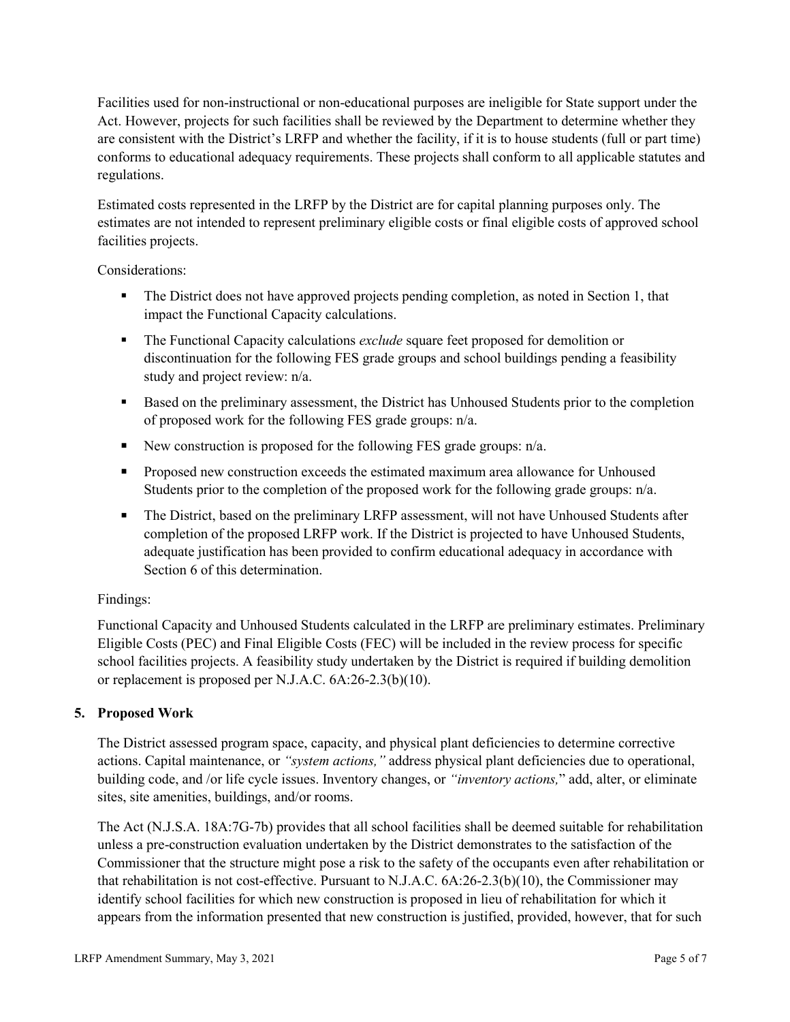Facilities used for non-instructional or non-educational purposes are ineligible for State support under the Act. However, projects for such facilities shall be reviewed by the Department to determine whether they are consistent with the District's LRFP and whether the facility, if it is to house students (full or part time) conforms to educational adequacy requirements. These projects shall conform to all applicable statutes and regulations.

Estimated costs represented in the LRFP by the District are for capital planning purposes only. The estimates are not intended to represent preliminary eligible costs or final eligible costs of approved school facilities projects.

Considerations:

- The District does not have approved projects pending completion, as noted in Section 1, that impact the Functional Capacity calculations.
- **The Functional Capacity calculations** *exclude* square feet proposed for demolition or discontinuation for the following FES grade groups and school buildings pending a feasibility study and project review: n/a.
- Based on the preliminary assessment, the District has Unhoused Students prior to the completion of proposed work for the following FES grade groups: n/a.
- New construction is proposed for the following FES grade groups: n/a.
- Proposed new construction exceeds the estimated maximum area allowance for Unhoused Students prior to the completion of the proposed work for the following grade groups: n/a.
- The District, based on the preliminary LRFP assessment, will not have Unhoused Students after completion of the proposed LRFP work. If the District is projected to have Unhoused Students, adequate justification has been provided to confirm educational adequacy in accordance with Section 6 of this determination.

# Findings:

Functional Capacity and Unhoused Students calculated in the LRFP are preliminary estimates. Preliminary Eligible Costs (PEC) and Final Eligible Costs (FEC) will be included in the review process for specific school facilities projects. A feasibility study undertaken by the District is required if building demolition or replacement is proposed per N.J.A.C. 6A:26-2.3(b)(10).

# **5. Proposed Work**

The District assessed program space, capacity, and physical plant deficiencies to determine corrective actions. Capital maintenance, or *"system actions,"* address physical plant deficiencies due to operational, building code, and /or life cycle issues. Inventory changes, or *"inventory actions,*" add, alter, or eliminate sites, site amenities, buildings, and/or rooms.

The Act (N.J.S.A. 18A:7G-7b) provides that all school facilities shall be deemed suitable for rehabilitation unless a pre-construction evaluation undertaken by the District demonstrates to the satisfaction of the Commissioner that the structure might pose a risk to the safety of the occupants even after rehabilitation or that rehabilitation is not cost-effective. Pursuant to N.J.A.C. 6A:26-2.3(b)(10), the Commissioner may identify school facilities for which new construction is proposed in lieu of rehabilitation for which it appears from the information presented that new construction is justified, provided, however, that for such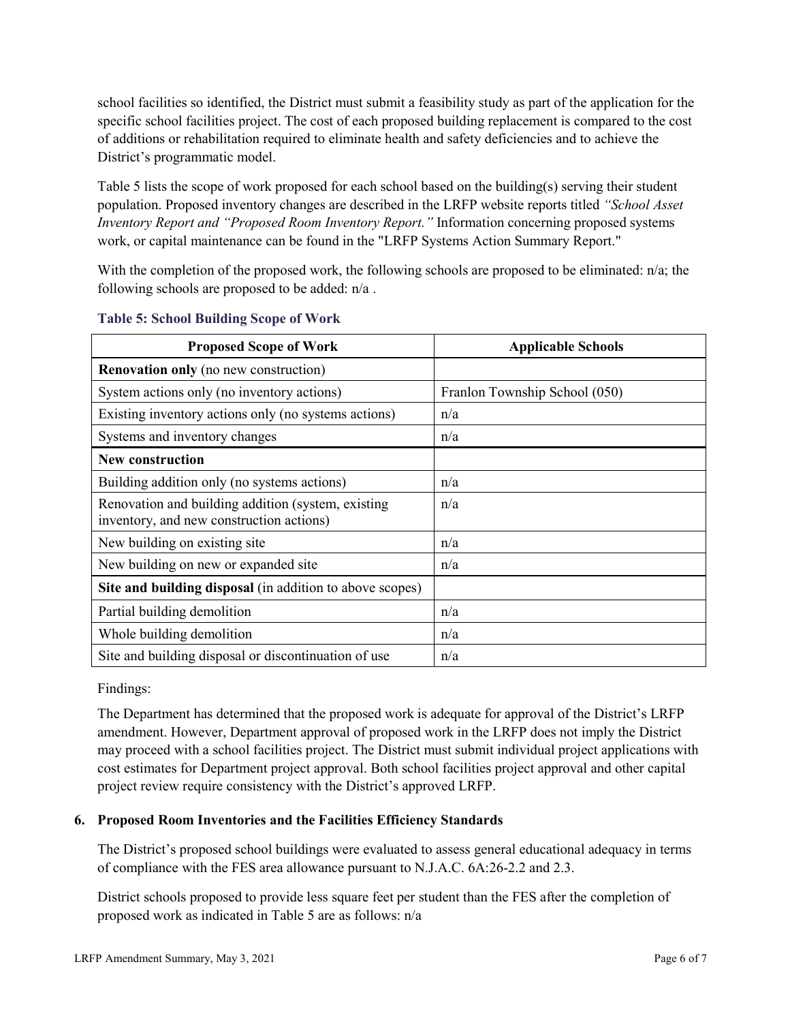school facilities so identified, the District must submit a feasibility study as part of the application for the specific school facilities project. The cost of each proposed building replacement is compared to the cost of additions or rehabilitation required to eliminate health and safety deficiencies and to achieve the District's programmatic model.

Table 5 lists the scope of work proposed for each school based on the building(s) serving their student population. Proposed inventory changes are described in the LRFP website reports titled *"School Asset Inventory Report and "Proposed Room Inventory Report."* Information concerning proposed systems work, or capital maintenance can be found in the "LRFP Systems Action Summary Report."

With the completion of the proposed work, the following schools are proposed to be eliminated: n/a; the following schools are proposed to be added: n/a .

| <b>Proposed Scope of Work</b>                                                                  | <b>Applicable Schools</b>     |
|------------------------------------------------------------------------------------------------|-------------------------------|
| <b>Renovation only</b> (no new construction)                                                   |                               |
| System actions only (no inventory actions)                                                     | Franlon Township School (050) |
| Existing inventory actions only (no systems actions)                                           | n/a                           |
| Systems and inventory changes                                                                  | n/a                           |
| <b>New construction</b>                                                                        |                               |
| Building addition only (no systems actions)                                                    | n/a                           |
| Renovation and building addition (system, existing<br>inventory, and new construction actions) | n/a                           |
| New building on existing site                                                                  | n/a                           |
| New building on new or expanded site                                                           | n/a                           |
| Site and building disposal (in addition to above scopes)                                       |                               |
| Partial building demolition                                                                    | n/a                           |
| Whole building demolition                                                                      | n/a                           |
| Site and building disposal or discontinuation of use                                           | n/a                           |

#### **Table 5: School Building Scope of Work**

Findings:

The Department has determined that the proposed work is adequate for approval of the District's LRFP amendment. However, Department approval of proposed work in the LRFP does not imply the District may proceed with a school facilities project. The District must submit individual project applications with cost estimates for Department project approval. Both school facilities project approval and other capital project review require consistency with the District's approved LRFP.

# **6. Proposed Room Inventories and the Facilities Efficiency Standards**

The District's proposed school buildings were evaluated to assess general educational adequacy in terms of compliance with the FES area allowance pursuant to N.J.A.C. 6A:26-2.2 and 2.3.

District schools proposed to provide less square feet per student than the FES after the completion of proposed work as indicated in Table 5 are as follows: n/a